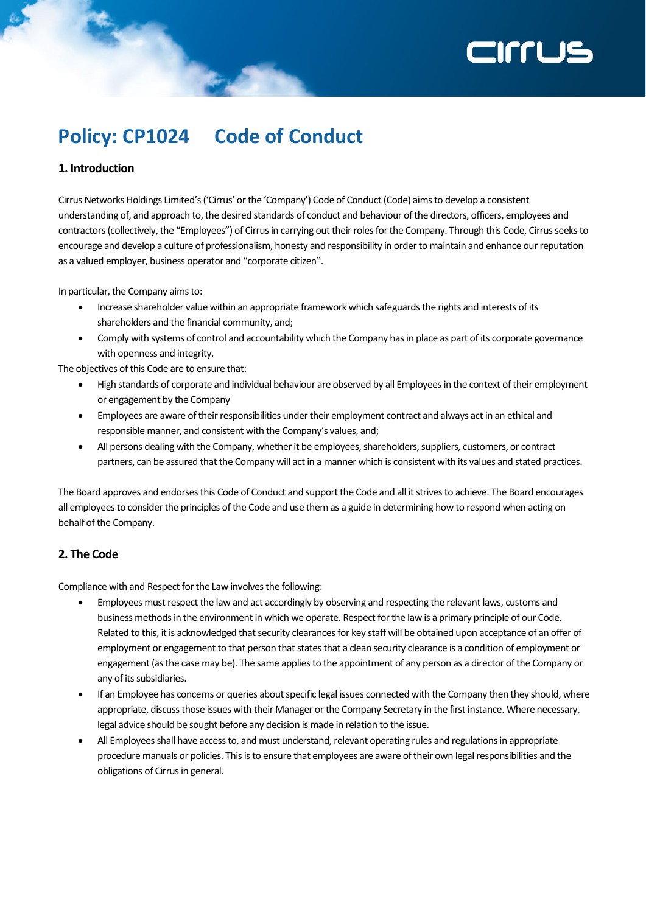# **ZINTLJS**

# **Policy: CP1024 Code of Conduct**

# **1. Introduction**

Cirrus Networks Holdings Limited's ('Cirrus' or the 'Company') Code of Conduct (Code) aims to develop a consistent understanding of, and approach to, the desired standards of conduct and behaviour of the directors, officers, employees and contractors (collectively, the "Employees") of Cirrus in carrying out their roles for the Company. Through this Code, Cirrus seeks to encourage and develop a culture of professionalism, honesty and responsibility in order to maintain and enhance our reputation as a valued employer, business operator and "corporate citizen".

In particular, the Company aims to:

- Increase shareholder value within an appropriate framework which safeguards the rights and interests of its shareholders and the financial community, and;
- Comply with systems of control and accountability which the Company has in place as part of its corporate governance with openness and integrity.

The objectives of this Code are to ensure that:

- High standards of corporate and individual behaviour are observed by all Employees in the context of their employment or engagement by the Company
- Employees are aware of their responsibilities under their employment contract and always act in an ethical and responsible manner, and consistent with the Company's values, and;
- All persons dealing with the Company, whether it be employees, shareholders, suppliers, customers, or contract partners, can be assured that the Company will act in a manner which is consistent with its values and stated practices.

The Board approves and endorses this Code of Conduct and support the Code and all it strives to achieve. The Board encourages all employees to consider the principles of the Code and use them as a guide in determining how to respond when acting on behalf of the Company.

# **2. The Code**

Compliance with and Respect for the Law involves the following:

- Employees must respect the law and act accordingly by observing and respecting the relevant laws, customs and business methods in the environment in which we operate. Respect for the law is a primary principle of our Code. Related to this, it is acknowledged that security clearances for key staff will be obtained upon acceptance of an offer of employment or engagement to that person that states that a clean security clearance is a condition of employment or engagement (as the case may be). The same applies to the appointment of any person as a director of the Company or any of its subsidiaries.
- If an Employee has concerns or queries about specific legal issues connected with the Company then they should, where appropriate, discuss those issues with their Manager or the Company Secretary in the first instance. Where necessary, legal advice should be sought before any decision is made in relation to the issue.
- All Employees shall have access to, and must understand, relevant operating rules and regulations in appropriate procedure manuals or policies. This is to ensure that employees are aware of their own legal responsibilities and the obligations of Cirrus in general.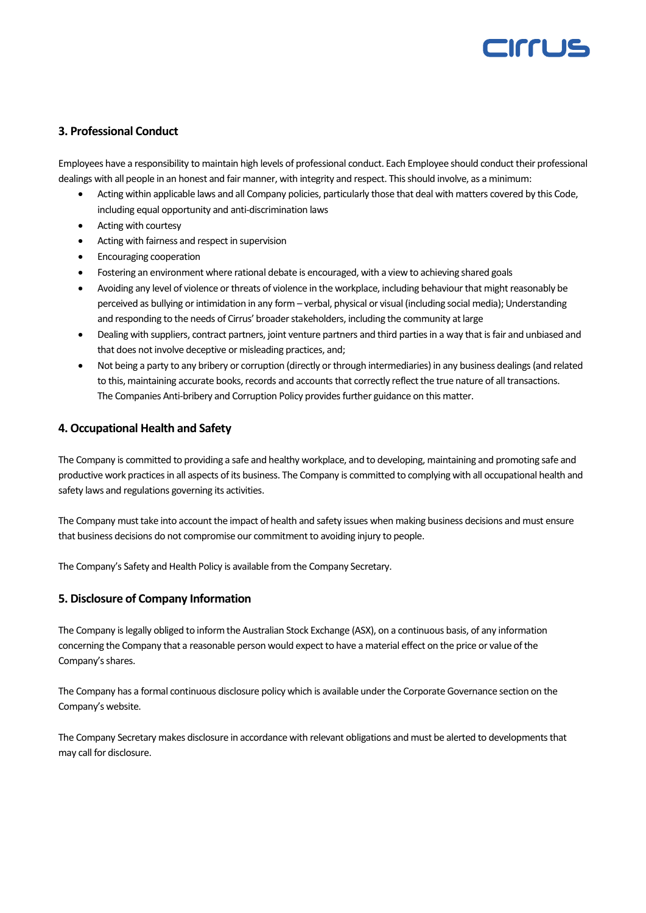# CIFFLIS

### **3. Professional Conduct**

Employees have a responsibility to maintain high levels of professional conduct. Each Employee should conduct their professional dealings with all people in an honest and fair manner, with integrity and respect. This should involve, as a minimum:

- Acting within applicable laws and all Company policies, particularly those that deal with matters covered by this Code, including equal opportunity and anti-discrimination laws
- Acting with courtesy
- Acting with fairness and respect in supervision
- Encouraging cooperation
- Fostering an environment where rational debate is encouraged, with a view to achieving shared goals
- Avoiding any level of violence or threats of violence in the workplace, including behaviour that might reasonably be perceived as bullying or intimidation in any form – verbal, physical or visual (including social media); Understanding and responding to the needs of Cirrus' broader stakeholders, including the community at large
- Dealing with suppliers, contract partners, joint venture partners and third parties in a way that is fair and unbiased and that does not involve deceptive or misleading practices, and;
- Not being a party to any bribery or corruption (directly or through intermediaries) in any business dealings (and related to this, maintaining accurate books, records and accounts that correctly reflect the true nature of all transactions. The Companies Anti-bribery and Corruption Policy provides further guidance on this matter.

#### **4. Occupational Health and Safety**

The Company is committed to providing a safe and healthy workplace, and to developing, maintaining and promoting safe and productive work practices in all aspects of its business. The Company is committed to complying with all occupational health and safety laws and regulations governing its activities.

The Company must take into account the impact of health and safety issues when making business decisions and must ensure that business decisions do not compromise our commitment to avoiding injury to people.

The Company's Safety and Health Policy is available from the Company Secretary.

#### **5. Disclosure of Company Information**

The Company is legally obliged to inform the Australian Stock Exchange (ASX), on a continuous basis, of any information concerning the Company that a reasonable person would expect to have a material effect on the price or value of the Company's shares.

The Company has a formal continuous disclosure policy which is available under the Corporate Governance section on the Company's website.

The Company Secretary makes disclosure in accordance with relevant obligations and must be alerted to developments that may call for disclosure.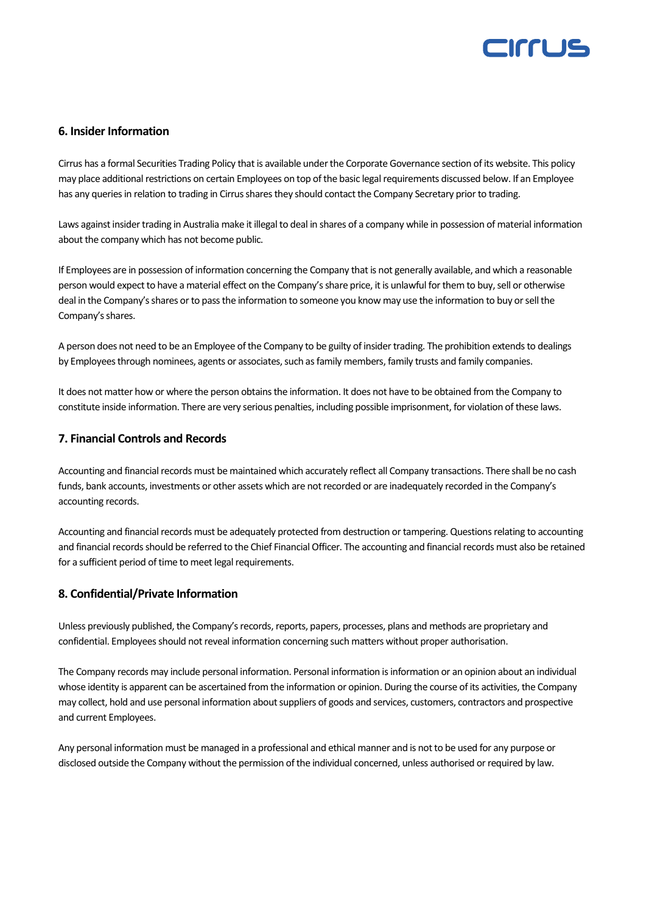

#### **6. Insider Information**

Cirrus has a formal Securities Trading Policy that is available under the Corporate Governance section of its website. This policy may place additional restrictions on certain Employees on top of the basic legal requirements discussed below. If an Employee has any queries in relation to trading in Cirrus shares they should contact the Company Secretary prior to trading.

Laws against insider trading in Australia make it illegal to deal in shares of a company while in possession of material information about the company which has not become public.

If Employees are in possession of information concerning the Company that is not generally available, and which a reasonable person would expect to have a material effect on the Company's share price, it is unlawful for them to buy, sell or otherwise deal in the Company's shares or to pass the information to someone you know may use the information to buy or sell the Company's shares.

A person does not need to be an Employee of the Company to be guilty of insider trading. The prohibition extends to dealings by Employees through nominees, agents or associates, such as family members, family trusts and family companies.

It does not matter how or where the person obtains the information. It does not have to be obtained from the Company to constitute inside information. There are very serious penalties, including possible imprisonment, for violation of these laws.

#### **7. Financial Controls and Records**

Accounting and financial records must be maintained which accurately reflect all Company transactions. There shall be no cash funds, bank accounts, investments or other assets which are not recorded or are inadequately recorded in the Company's accounting records.

Accounting and financial records must be adequately protected from destruction or tampering. Questions relating to accounting and financial records should be referred to the Chief Financial Officer. The accounting and financial records must also be retained for a sufficient period of time to meet legal requirements.

#### **8. Confidential/Private Information**

Unless previously published, the Company's records, reports, papers, processes, plans and methods are proprietary and confidential. Employees should not reveal information concerning such matters without proper authorisation.

The Company records may include personal information. Personal information is information or an opinion about an individual whose identity is apparent can be ascertained from the information or opinion. During the course of its activities, the Company may collect, hold and use personal information about suppliers of goods and services, customers, contractors and prospective and current Employees.

Any personal information must be managed in a professional and ethical manner and is not to be used for any purpose or disclosed outside the Company without the permission of the individual concerned, unless authorised or required by law.